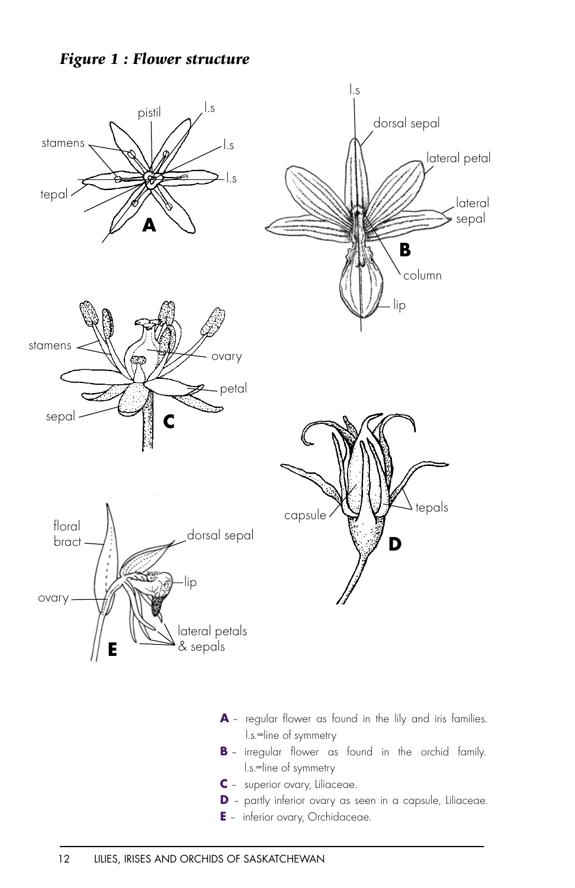## *Figure 1 : Flower structure*



- **A** regular flower as found in the lily and iris families. l.s.=line of symmetry
- **B** irregular flower as found in the orchid family. l.s.=line of symmetry
- **C** superior ovary, Liliaceae.
- **D** partly inferior ovary as seen in a capsule, Liliaceae.
- **E** inferior ovary, Orchidaceae.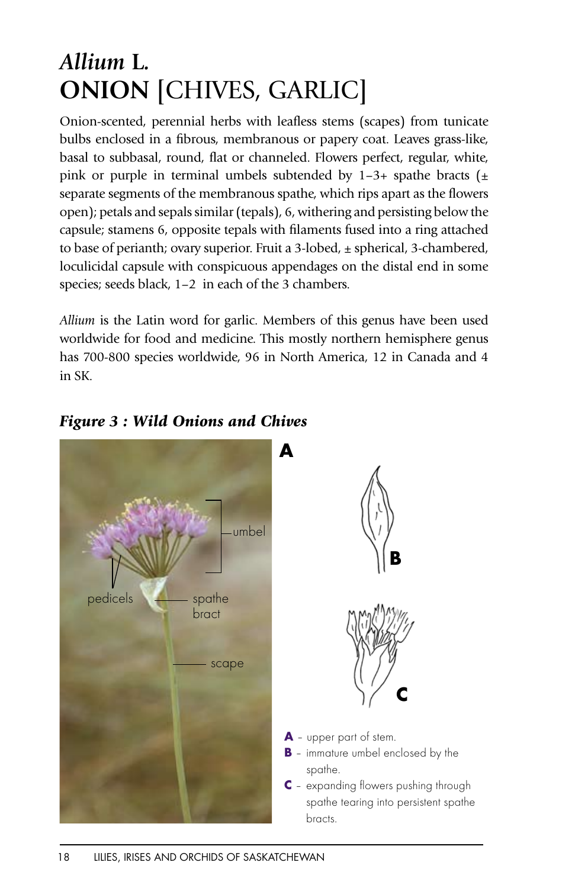## *Allium* **L***.* **ONION** [CHIVES, GARLIC]

Onion-scented, perennial herbs with leafless stems (scapes) from tunicate bulbs enclosed in a fibrous, membranous or papery coat. Leaves grass-like, basal to subbasal, round, flat or channeled. Flowers perfect, regular, white, pink or purple in terminal umbels subtended by  $1-3+$  spathe bracts  $(\pm)$ separate segments of the membranous spathe, which rips apart as the flowers open); petals and sepals similar (tepals), 6, withering and persisting below the capsule; stamens 6, opposite tepals with filaments fused into a ring attached to base of perianth; ovary superior. Fruit a 3-lobed,  $\pm$  spherical, 3-chambered, loculicidal capsule with conspicuous appendages on the distal end in some species; seeds black, 1-2 in each of the 3 chambers.

*Allium* is the Latin word for garlic. Members of this genus have been used worldwide for food and medicine. This mostly northern hemisphere genus has 700-800 species worldwide, 96 in North America, 12 in Canada and 4 in SK.

*Figure 3 : Wild Onions and Chives*

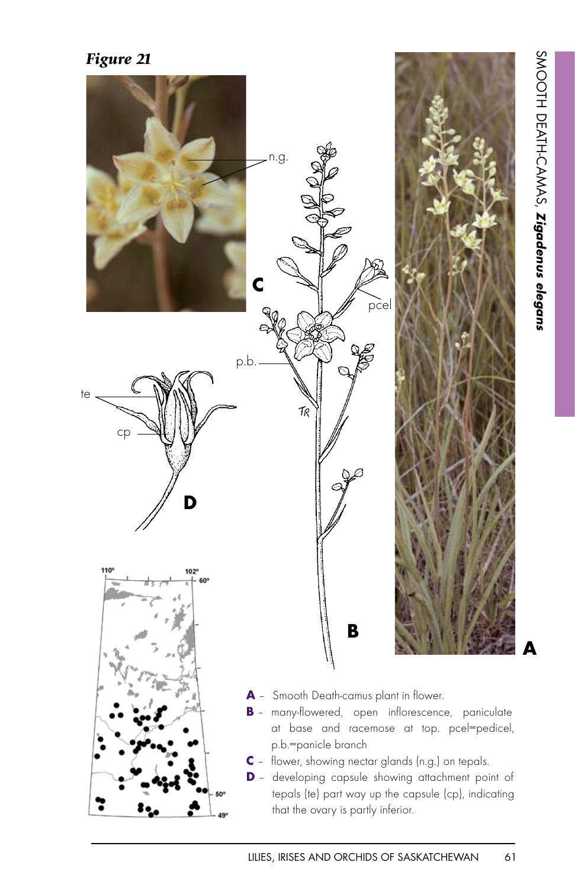

LILIES, IRISES AND ORCHIDS OF SASKATCHEWAN 61

at base and racemose at top. pcel=pedicel,

**C** – flower, showing nectar glands (n.g.) on tepals. **D** – developing capsule showing attachment point of tepals (te) part way up the capsule (cp), indicating

that the ovary is partly inferior.

p.b.=panicle branch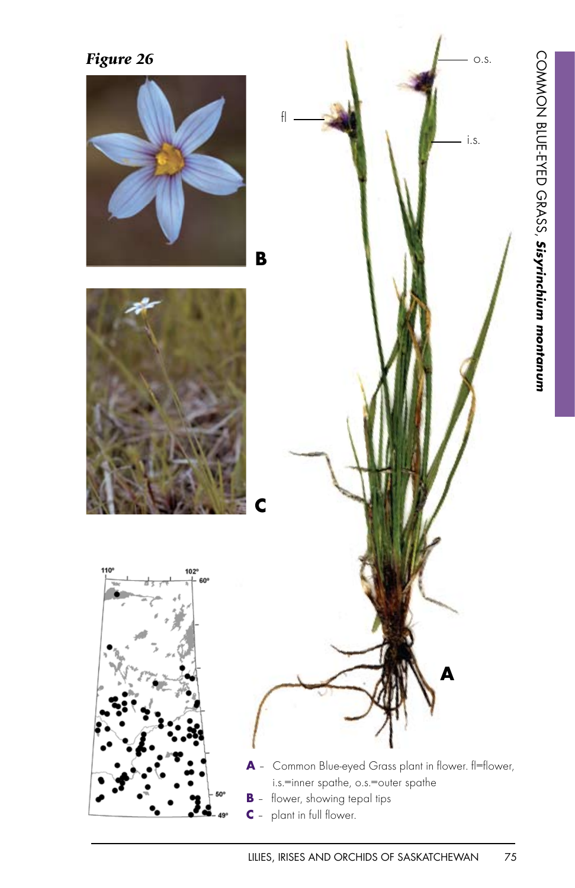





**A** – Common Blue-eyed Grass plant in flower. fl=flower, i.s.=inner spathe, o.s.=outer spathe **B** – flower, showing tepal tips **C** – plant in full flower.

**A**

LILIES, IRISES AND ORCHIDS OF SASKATCHEWAN 75